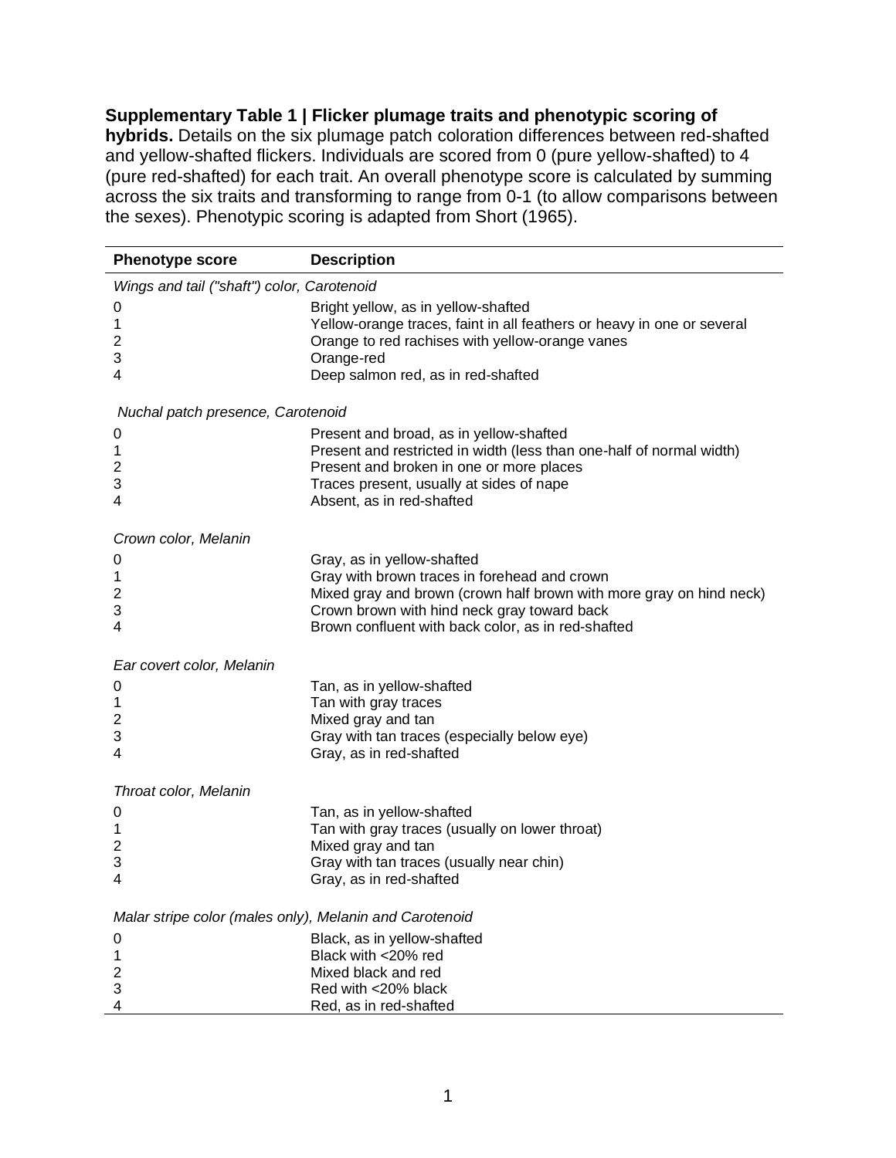**Supplementary Table 1 | Flicker plumage traits and phenotypic scoring of hybrids.** Details on the six plumage patch coloration differences between red-shafted and yellow-shafted flickers. Individuals are scored from 0 (pure yellow-shafted) to 4 (pure red-shafted) for each trait. An overall phenotype score is calculated by summing across the six traits and transforming to range from 0-1 (to allow comparisons between the sexes). Phenotypic scoring is adapted from Short (1965).

| <b>Phenotype score</b>                                  | <b>Description</b>                                                                                                                                                                                                                                     |
|---------------------------------------------------------|--------------------------------------------------------------------------------------------------------------------------------------------------------------------------------------------------------------------------------------------------------|
| Wings and tail ("shaft") color, Carotenoid              |                                                                                                                                                                                                                                                        |
| 0<br>1<br>2<br>3<br>4                                   | Bright yellow, as in yellow-shafted<br>Yellow-orange traces, faint in all feathers or heavy in one or several<br>Orange to red rachises with yellow-orange vanes<br>Orange-red<br>Deep salmon red, as in red-shafted                                   |
| Nuchal patch presence, Carotenoid                       |                                                                                                                                                                                                                                                        |
| 0<br>1<br>2<br>3<br>4                                   | Present and broad, as in yellow-shafted<br>Present and restricted in width (less than one-half of normal width)<br>Present and broken in one or more places<br>Traces present, usually at sides of nape<br>Absent, as in red-shafted                   |
| Crown color, Melanin                                    |                                                                                                                                                                                                                                                        |
| 0<br>1<br>2<br>3<br>4                                   | Gray, as in yellow-shafted<br>Gray with brown traces in forehead and crown<br>Mixed gray and brown (crown half brown with more gray on hind neck)<br>Crown brown with hind neck gray toward back<br>Brown confluent with back color, as in red-shafted |
| Ear covert color, Melanin                               |                                                                                                                                                                                                                                                        |
| 0<br>1<br>2<br>3<br>4                                   | Tan, as in yellow-shafted<br>Tan with gray traces<br>Mixed gray and tan<br>Gray with tan traces (especially below eye)<br>Gray, as in red-shafted                                                                                                      |
| Throat color, Melanin                                   |                                                                                                                                                                                                                                                        |
| 0<br>1<br>2<br>3<br>4                                   | Tan, as in yellow-shafted<br>Tan with gray traces (usually on lower throat)<br>Mixed gray and tan<br>Gray with tan traces (usually near chin)<br>Gray, as in red-shafted                                                                               |
| Malar stripe color (males only), Melanin and Carotenoid |                                                                                                                                                                                                                                                        |
| 0<br>1<br>2<br>3                                        | Black, as in yellow-shafted<br>Black with <20% red<br>Mixed black and red<br>Red with <20% black                                                                                                                                                       |
| 4                                                       | Red, as in red-shafted                                                                                                                                                                                                                                 |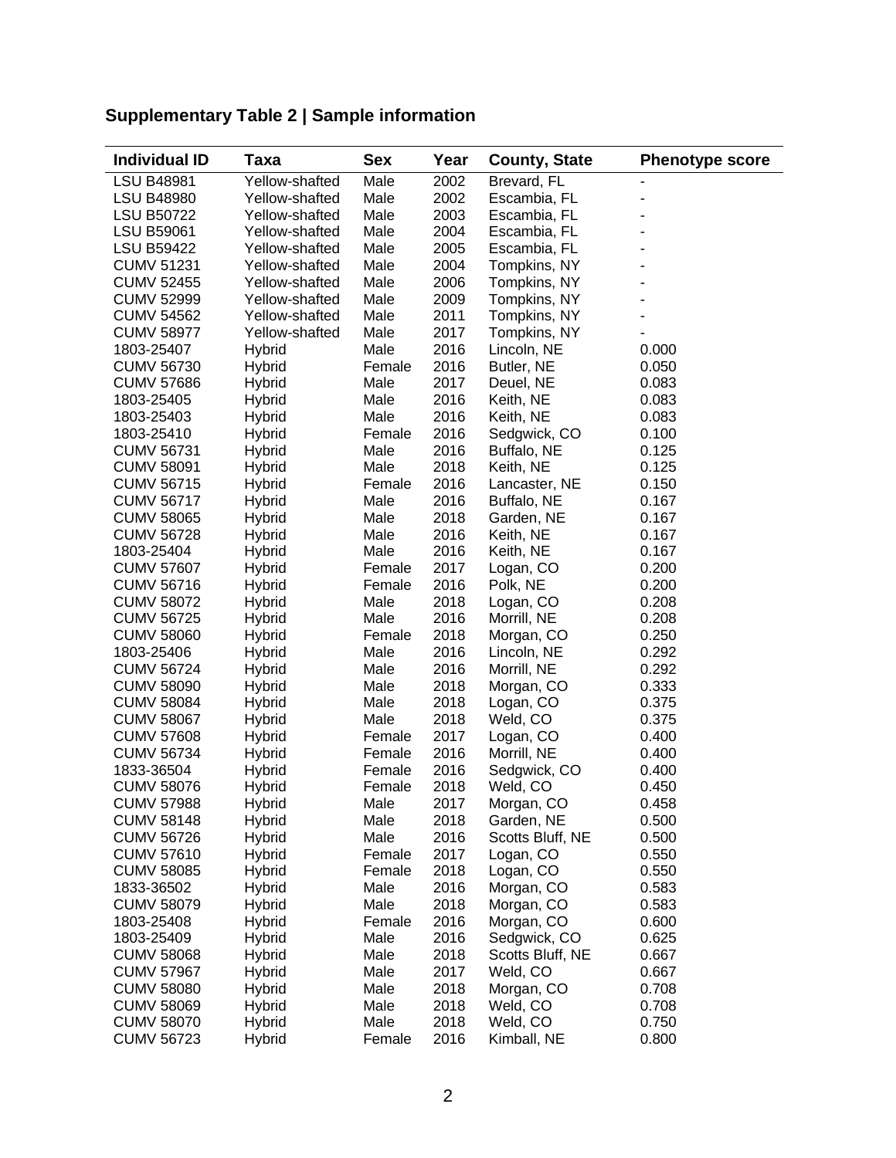| <b>Individual ID</b> | Taxa           | <b>Sex</b> | Year | <b>County, State</b> | <b>Phenotype score</b> |
|----------------------|----------------|------------|------|----------------------|------------------------|
| <b>LSU B48981</b>    | Yellow-shafted | Male       | 2002 | Brevard, FL          |                        |
| <b>LSU B48980</b>    | Yellow-shafted | Male       | 2002 | Escambia, FL         |                        |
| <b>LSU B50722</b>    | Yellow-shafted | Male       | 2003 | Escambia, FL         |                        |
| <b>LSU B59061</b>    | Yellow-shafted | Male       | 2004 | Escambia, FL         |                        |
| <b>LSU B59422</b>    | Yellow-shafted | Male       | 2005 | Escambia, FL         |                        |
| <b>CUMV 51231</b>    | Yellow-shafted | Male       | 2004 | Tompkins, NY         |                        |
| <b>CUMV 52455</b>    | Yellow-shafted | Male       | 2006 | Tompkins, NY         |                        |
| <b>CUMV 52999</b>    | Yellow-shafted | Male       | 2009 | Tompkins, NY         |                        |
| <b>CUMV 54562</b>    | Yellow-shafted | Male       | 2011 | Tompkins, NY         |                        |
| <b>CUMV 58977</b>    | Yellow-shafted | Male       | 2017 | Tompkins, NY         |                        |
| 1803-25407           | <b>Hybrid</b>  | Male       | 2016 | Lincoln, NE          | 0.000                  |
| <b>CUMV 56730</b>    | Hybrid         | Female     | 2016 | Butler, NE           | 0.050                  |
| <b>CUMV 57686</b>    | <b>Hybrid</b>  | Male       | 2017 | Deuel, NE            | 0.083                  |
| 1803-25405           | <b>Hybrid</b>  | Male       | 2016 | Keith, NE            | 0.083                  |
| 1803-25403           | Hybrid         | Male       | 2016 | Keith, NE            | 0.083                  |
| 1803-25410           | <b>Hybrid</b>  | Female     | 2016 | Sedgwick, CO         | 0.100                  |
| <b>CUMV 56731</b>    | <b>Hybrid</b>  | Male       | 2016 | Buffalo, NE          | 0.125                  |
| <b>CUMV 58091</b>    | <b>Hybrid</b>  | Male       | 2018 | Keith, NE            | 0.125                  |
| <b>CUMV 56715</b>    | <b>Hybrid</b>  | Female     | 2016 | Lancaster, NE        | 0.150                  |
| <b>CUMV 56717</b>    | <b>Hybrid</b>  | Male       | 2016 | Buffalo, NE          | 0.167                  |
| <b>CUMV 58065</b>    | <b>Hybrid</b>  | Male       | 2018 | Garden, NE           | 0.167                  |
| <b>CUMV 56728</b>    | Hybrid         | Male       | 2016 | Keith, NE            | 0.167                  |
| 1803-25404           | Hybrid         | Male       | 2016 | Keith, NE            | 0.167                  |
| <b>CUMV 57607</b>    | <b>Hybrid</b>  | Female     | 2017 | Logan, CO            | 0.200                  |
| <b>CUMV 56716</b>    | <b>Hybrid</b>  | Female     | 2016 | Polk, NE             | 0.200                  |
| <b>CUMV 58072</b>    | Hybrid         | Male       | 2018 | Logan, CO            | 0.208                  |
| <b>CUMV 56725</b>    | Hybrid         | Male       | 2016 | Morrill, NE          | 0.208                  |
| <b>CUMV 58060</b>    | Hybrid         | Female     | 2018 | Morgan, CO           | 0.250                  |
| 1803-25406           | <b>Hybrid</b>  | Male       | 2016 | Lincoln, NE          | 0.292                  |
| <b>CUMV 56724</b>    | <b>Hybrid</b>  | Male       | 2016 | Morrill, NE          | 0.292                  |
| <b>CUMV 58090</b>    | <b>Hybrid</b>  | Male       | 2018 | Morgan, CO           | 0.333                  |
| <b>CUMV 58084</b>    | <b>Hybrid</b>  | Male       | 2018 | Logan, CO            | 0.375                  |
| <b>CUMV 58067</b>    | Hybrid         | Male       | 2018 | Weld, CO             | 0.375                  |
| <b>CUMV 57608</b>    | Hybrid         | Female     | 2017 | Logan, CO            | 0.400                  |
| <b>CUMV 56734</b>    | Hybrid         | Female     | 2016 | Morrill, NE          | 0.400                  |
| 1833-36504           | <b>Hybrid</b>  | Female     | 2016 | Sedgwick, CO         | 0.400                  |
| <b>CUMV 58076</b>    | <b>Hybrid</b>  | Female     | 2018 | Weld, CO             | 0.450                  |
| <b>CUMV 57988</b>    | <b>Hybrid</b>  | Male       | 2017 | Morgan, CO           | 0.458                  |
| <b>CUMV 58148</b>    | <b>Hybrid</b>  | Male       | 2018 | Garden, NE           | 0.500                  |
| <b>CUMV 56726</b>    | Hybrid         | Male       | 2016 | Scotts Bluff, NE     | 0.500                  |
| <b>CUMV 57610</b>    | Hybrid         | Female     | 2017 | Logan, CO            | 0.550                  |
| <b>CUMV 58085</b>    | Hybrid         | Female     | 2018 | Logan, CO            | 0.550                  |
| 1833-36502           | <b>Hybrid</b>  | Male       | 2016 | Morgan, CO           | 0.583                  |
| <b>CUMV 58079</b>    | <b>Hybrid</b>  | Male       | 2018 | Morgan, CO           | 0.583                  |
| 1803-25408           | <b>Hybrid</b>  | Female     | 2016 | Morgan, CO           | 0.600                  |
| 1803-25409           | <b>Hybrid</b>  | Male       | 2016 | Sedgwick, CO         | 0.625                  |
| <b>CUMV 58068</b>    | <b>Hybrid</b>  | Male       | 2018 | Scotts Bluff, NE     | 0.667                  |
| <b>CUMV 57967</b>    | <b>Hybrid</b>  | Male       | 2017 | Weld, CO             | 0.667                  |
| <b>CUMV 58080</b>    | <b>Hybrid</b>  | Male       | 2018 | Morgan, CO           | 0.708                  |
| <b>CUMV 58069</b>    | <b>Hybrid</b>  | Male       | 2018 | Weld, CO             | 0.708                  |
| <b>CUMV 58070</b>    | Hybrid         | Male       | 2018 | Weld, CO             | 0.750                  |
| <b>CUMV 56723</b>    | <b>Hybrid</b>  | Female     | 2016 | Kimball, NE          | 0.800                  |
|                      |                |            |      |                      |                        |

## **Supplementary Table 2 | Sample information**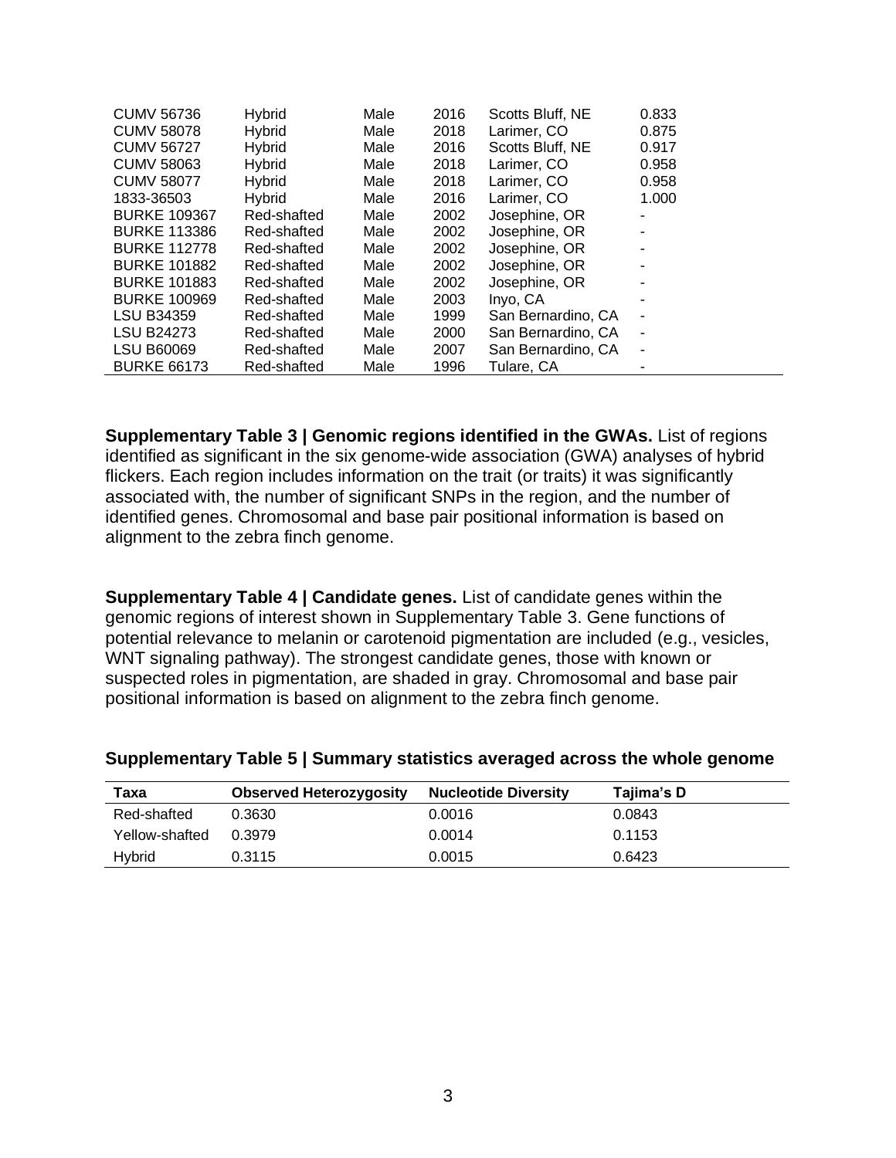| <b>CUMV 56736</b>   | <b>Hybrid</b>  | Male | 2016 | Scotts Bluff, NE   | 0.833                    |
|---------------------|----------------|------|------|--------------------|--------------------------|
| <b>CUMV 58078</b>   | Hybrid         | Male | 2018 | Larimer, CO        | 0.875                    |
| <b>CUMV 56727</b>   | Hybrid         | Male | 2016 | Scotts Bluff, NE   | 0.917                    |
| <b>CUMV 58063</b>   | Hybrid         | Male | 2018 | Larimer, CO        | 0.958                    |
| <b>CUMV 58077</b>   | <b>H</b> vbrid | Male | 2018 | Larimer, CO        | 0.958                    |
| 1833-36503          | <b>Hybrid</b>  | Male | 2016 | Larimer, CO        | 1.000                    |
| <b>BURKE 109367</b> | Red-shafted    | Male | 2002 | Josephine, OR      |                          |
| <b>BURKE 113386</b> | Red-shafted    | Male | 2002 | Josephine, OR      |                          |
| <b>BURKE 112778</b> | Red-shafted    | Male | 2002 | Josephine, OR      |                          |
| <b>BURKE 101882</b> | Red-shafted    | Male | 2002 | Josephine, OR      |                          |
| <b>BURKE 101883</b> | Red-shafted    | Male | 2002 | Josephine, OR      |                          |
| <b>BURKE 100969</b> | Red-shafted    | Male | 2003 | Inyo, CA           |                          |
| <b>LSU B34359</b>   | Red-shafted    | Male | 1999 | San Bernardino, CA |                          |
| <b>LSU B24273</b>   | Red-shafted    | Male | 2000 | San Bernardino, CA |                          |
| <b>LSU B60069</b>   | Red-shafted    | Male | 2007 | San Bernardino, CA | $\overline{\phantom{a}}$ |
| <b>BURKE 66173</b>  | Red-shafted    | Male | 1996 | Tulare, CA         |                          |

**Supplementary Table 3 | Genomic regions identified in the GWAs.** List of regions identified as significant in the six genome-wide association (GWA) analyses of hybrid flickers. Each region includes information on the trait (or traits) it was significantly associated with, the number of significant SNPs in the region, and the number of identified genes. Chromosomal and base pair positional information is based on alignment to the zebra finch genome.

**Supplementary Table 4 | Candidate genes.** List of candidate genes within the genomic regions of interest shown in Supplementary Table 3. Gene functions of potential relevance to melanin or carotenoid pigmentation are included (e.g., vesicles, WNT signaling pathway). The strongest candidate genes, those with known or suspected roles in pigmentation, are shaded in gray. Chromosomal and base pair positional information is based on alignment to the zebra finch genome.

| Taxa           | <b>Observed Heterozygosity</b> | <b>Nucleotide Diversity</b> | Tajima's D |
|----------------|--------------------------------|-----------------------------|------------|
| Red-shafted    | 0.3630                         | 0.0016                      | 0.0843     |
| Yellow-shafted | 0.3979                         | 0.0014                      | 0.1153     |
| <b>H</b> vbrid | 0.3115                         | 0.0015                      | 0.6423     |

## **Supplementary Table 5 | Summary statistics averaged across the whole genome**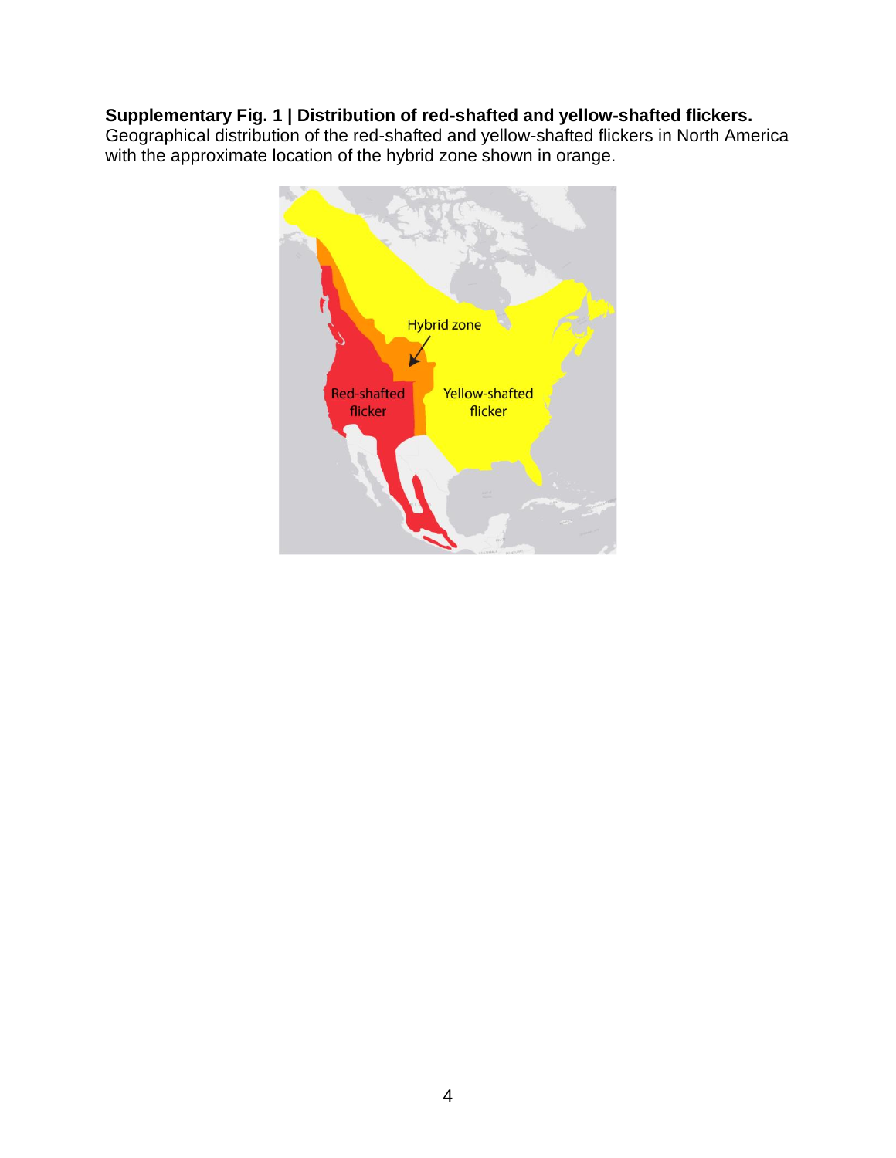## **Supplementary Fig. 1 | Distribution of red-shafted and yellow-shafted flickers.**

Geographical distribution of the red-shafted and yellow-shafted flickers in North America with the approximate location of the hybrid zone shown in orange.

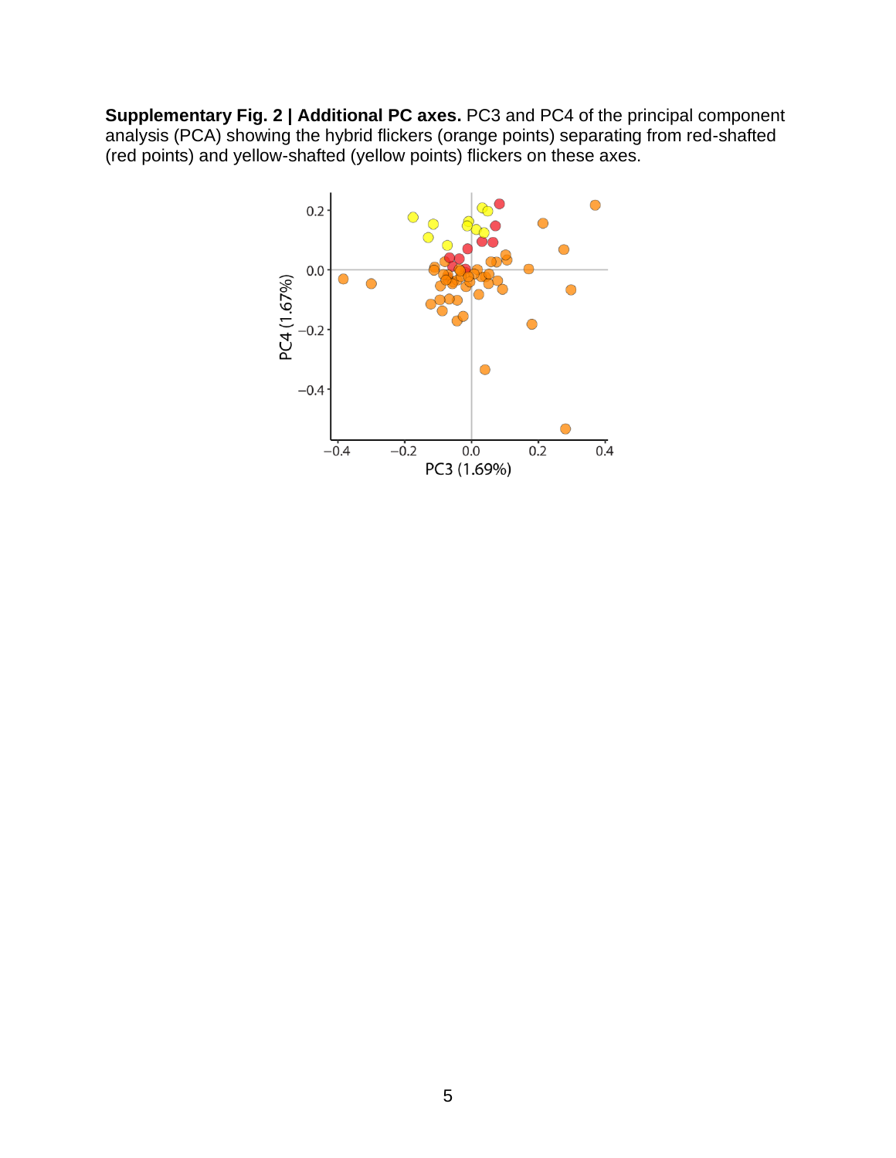**Supplementary Fig. 2 | Additional PC axes.** PC3 and PC4 of the principal component analysis (PCA) showing the hybrid flickers (orange points) separating from red-shafted (red points) and yellow-shafted (yellow points) flickers on these axes.

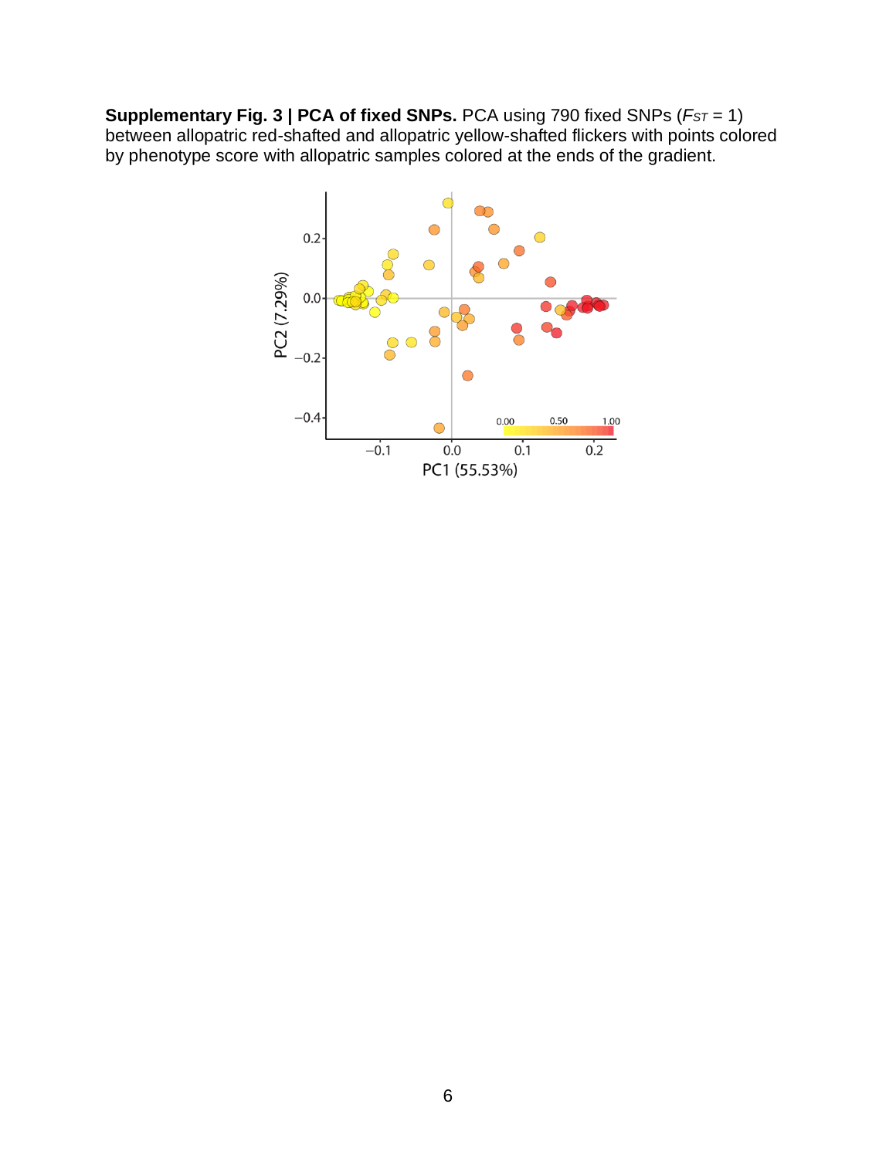**Supplementary Fig. 3 | PCA of fixed SNPs.** PCA using 790 fixed SNPs (*FST* = 1) between allopatric red-shafted and allopatric yellow-shafted flickers with points colored by phenotype score with allopatric samples colored at the ends of the gradient.

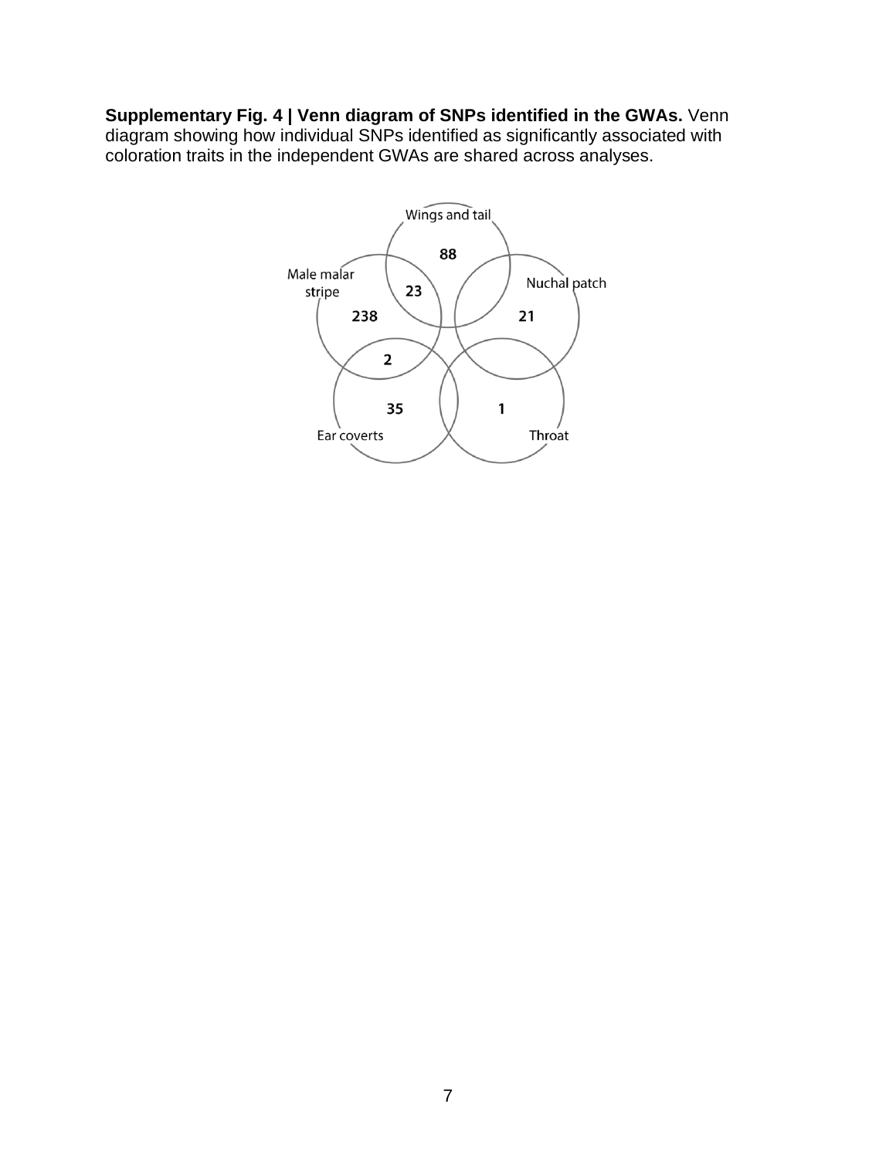## **Supplementary Fig. 4 | Venn diagram of SNPs identified in the GWAs.** Venn

diagram showing how individual SNPs identified as significantly associated with coloration traits in the independent GWAs are shared across analyses.

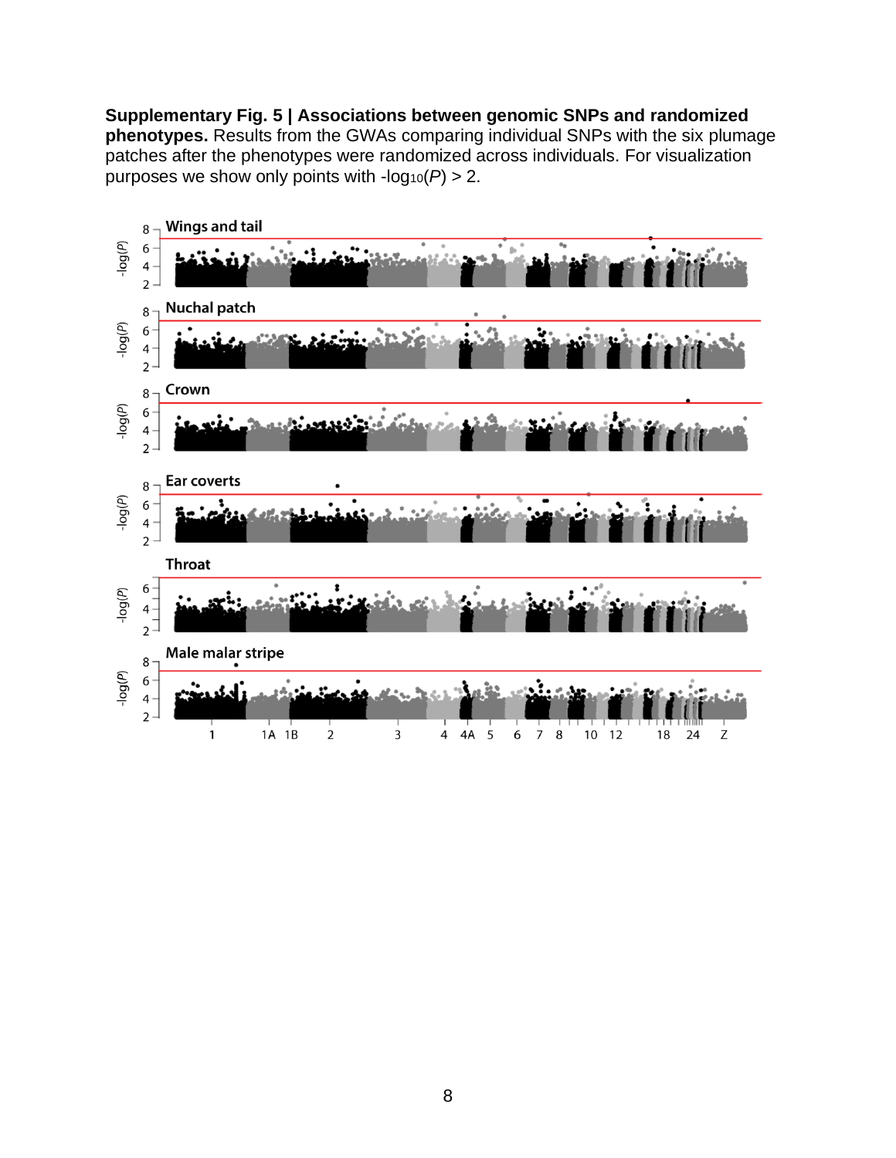**Supplementary Fig. 5 | Associations between genomic SNPs and randomized phenotypes.** Results from the GWAs comparing individual SNPs with the six plumage patches after the phenotypes were randomized across individuals. For visualization purposes we show only points with  $-log_{10}(P) > 2$ .